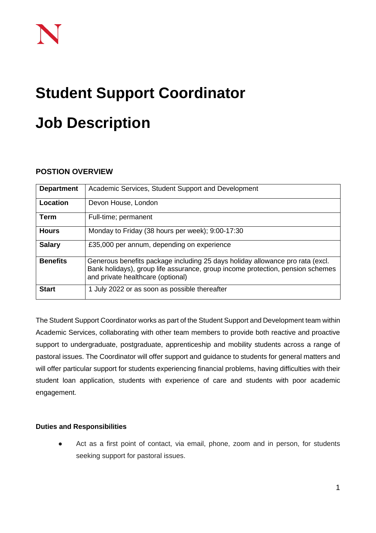# **Student Support Coordinator Job Description**

## **POSTION OVERVIEW**

| <b>Department</b> | Academic Services, Student Support and Development                                                                                                                                                   |
|-------------------|------------------------------------------------------------------------------------------------------------------------------------------------------------------------------------------------------|
| Location          | Devon House, London                                                                                                                                                                                  |
| <b>Term</b>       | Full-time; permanent                                                                                                                                                                                 |
| <b>Hours</b>      | Monday to Friday (38 hours per week); 9:00-17:30                                                                                                                                                     |
| <b>Salary</b>     | £35,000 per annum, depending on experience                                                                                                                                                           |
| <b>Benefits</b>   | Generous benefits package including 25 days holiday allowance pro rata (excl.<br>Bank holidays), group life assurance, group income protection, pension schemes<br>and private healthcare (optional) |
| <b>Start</b>      | 1 July 2022 or as soon as possible thereafter                                                                                                                                                        |

The Student Support Coordinator works as part of the Student Support and Development team within Academic Services, collaborating with other team members to provide both reactive and proactive support to undergraduate, postgraduate, apprenticeship and mobility students across a range of pastoral issues. The Coordinator will offer support and guidance to students for general matters and will offer particular support for students experiencing financial problems, having difficulties with their student loan application, students with experience of care and students with poor academic engagement.

#### **Duties and Responsibilities**

● Act as a first point of contact, via email, phone, zoom and in person, for students seeking support for pastoral issues.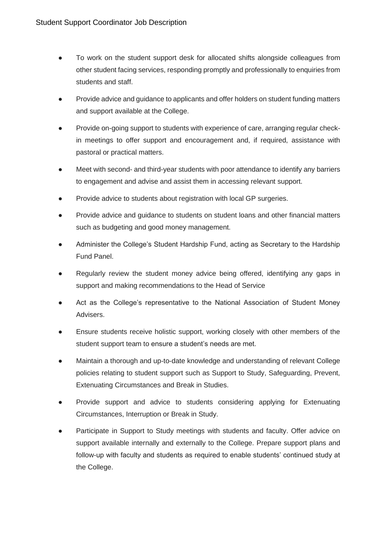- To work on the student support desk for allocated shifts alongside colleagues from other student facing services, responding promptly and professionally to enquiries from students and staff.
- Provide advice and guidance to applicants and offer holders on student funding matters and support available at the College.
- Provide on-going support to students with experience of care, arranging regular checkin meetings to offer support and encouragement and, if required, assistance with pastoral or practical matters.
- Meet with second- and third-year students with poor attendance to identify any barriers to engagement and advise and assist them in accessing relevant support.
- Provide advice to students about registration with local GP surgeries.
- Provide advice and guidance to students on student loans and other financial matters such as budgeting and good money management.
- Administer the College's Student Hardship Fund, acting as Secretary to the Hardship Fund Panel.
- Regularly review the student money advice being offered, identifying any gaps in support and making recommendations to the Head of Service
- Act as the College's representative to the National Association of Student Money Advisers.
- Ensure students receive holistic support, working closely with other members of the student support team to ensure a student's needs are met.
- Maintain a thorough and up-to-date knowledge and understanding of relevant College policies relating to student support such as Support to Study, Safeguarding, Prevent, Extenuating Circumstances and Break in Studies.
- Provide support and advice to students considering applying for Extenuating Circumstances, Interruption or Break in Study.
- Participate in Support to Study meetings with students and faculty. Offer advice on support available internally and externally to the College. Prepare support plans and follow-up with faculty and students as required to enable students' continued study at the College.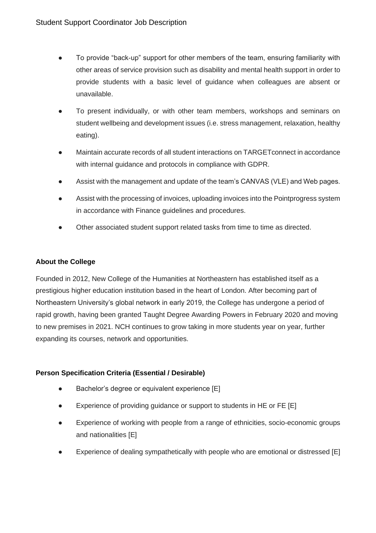- To provide "back-up" support for other members of the team, ensuring familiarity with other areas of service provision such as disability and mental health support in order to provide students with a basic level of guidance when colleagues are absent or unavailable.
- To present individually, or with other team members, workshops and seminars on student wellbeing and development issues (i.e. stress management, relaxation, healthy eating).
- Maintain accurate records of all student interactions on TARGET connect in accordance with internal guidance and protocols in compliance with GDPR.
- Assist with the management and update of the team's CANVAS (VLE) and Web pages.
- Assist with the processing of invoices, uploading invoices into the Pointprogress system in accordance with Finance guidelines and procedures.
- Other associated student support related tasks from time to time as directed.

#### **About the College**

Founded in 2012, New College of the Humanities at Northeastern has established itself as a prestigious higher education institution based in the heart of London. After becoming part of Northeastern University's global network in early 2019, the College has undergone a period of rapid growth, having been granted Taught Degree Awarding Powers in February 2020 and moving to new premises in 2021. NCH continues to grow taking in more students year on year, further expanding its courses, network and opportunities.

#### **Person Specification Criteria (Essential / Desirable)**

- Bachelor's degree or equivalent experience [E]
- Experience of providing guidance or support to students in HE or FE [E]
- Experience of working with people from a range of ethnicities, socio-economic groups and nationalities [E]
- Experience of dealing sympathetically with people who are emotional or distressed [E]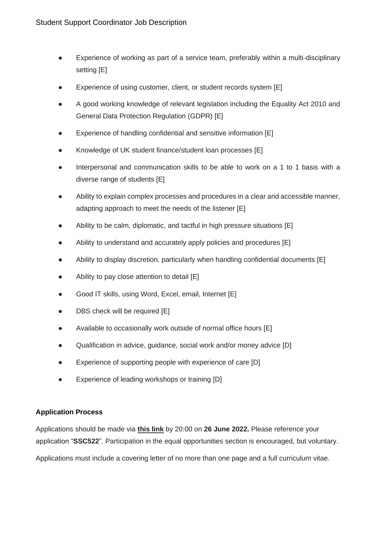- Experience of working as part of a service team, preferably within a multi-disciplinary setting [E]
- Experience of using customer, client, or student records system [E]
- A good working knowledge of relevant legislation including the Equality Act 2010 and General Data Protection Regulation (GDPR) [E]
- Experience of handling confidential and sensitive information [E]
- Knowledge of UK student finance/student loan processes [E]
- Interpersonal and communication skills to be able to work on a 1 to 1 basis with a diverse range of students [E]
- Ability to explain complex processes and procedures in a clear and accessible manner, adapting approach to meet the needs of the listener [E]
- Ability to be calm, diplomatic, and tactful in high pressure situations [E]
- Ability to understand and accurately apply policies and procedures [E]
- Ability to display discretion, particularly when handling confidential documents [E]
- Ability to pay close attention to detail [E]
- Good IT skills, using Word, Excel, email, Internet [E]
- DBS check will be required [E]
- Available to occasionally work outside of normal office hours [E]
- Qualification in advice, guidance, social work and/or money advice [D]
- Experience of supporting people with experience of care [D]
- Experience of leading workshops or training [D]

### **Application Process**

Applications should be made via **[this link](https://share.hsforms.com/1p3G6XPo_QD-X7V9aRnSTYQ2peji)** by 20:00 on **26 June 2022.** Please reference your application "**SSC522**". Participation in the equal opportunities section is encouraged, but voluntary.

Applications must include a covering letter of no more than one page and a full curriculum vitae.